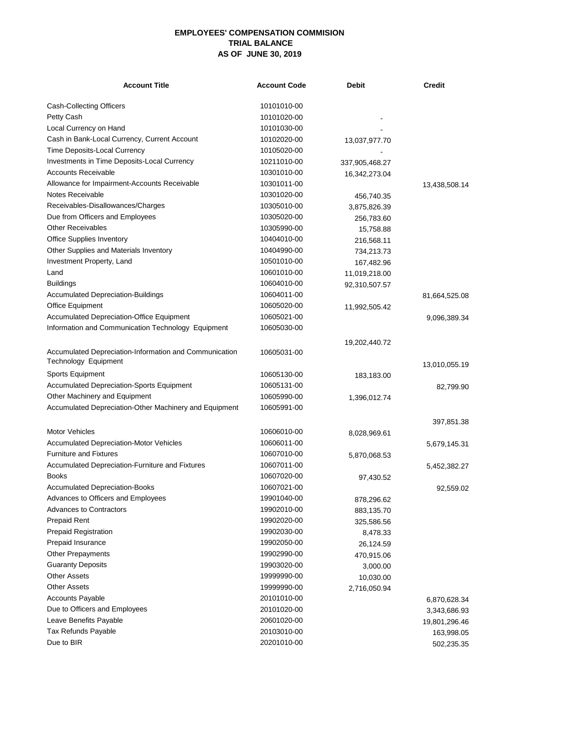## **EMPLOYEES' COMPENSATION COMMISION TRIAL BALANCE AS OF JUNE 30, 2019**

| <b>Account Title</b>                                   | <b>Account Code</b> | Debit          | <b>Credit</b> |
|--------------------------------------------------------|---------------------|----------------|---------------|
| Cash-Collecting Officers                               | 10101010-00         |                |               |
| Petty Cash                                             | 10101020-00         |                |               |
| Local Currency on Hand                                 | 10101030-00         |                |               |
| Cash in Bank-Local Currency, Current Account           | 10102020-00         | 13,037,977.70  |               |
| Time Deposits-Local Currency                           | 10105020-00         |                |               |
| Investments in Time Deposits-Local Currency            | 10211010-00         | 337,905,468.27 |               |
| <b>Accounts Receivable</b>                             | 10301010-00         | 16,342,273.04  |               |
| Allowance for Impairment-Accounts Receivable           | 10301011-00         |                | 13,438,508.14 |
| Notes Receivable                                       | 10301020-00         | 456,740.35     |               |
| Receivables-Disallowances/Charges                      | 10305010-00         | 3,875,826.39   |               |
| Due from Officers and Employees                        | 10305020-00         | 256,783.60     |               |
| <b>Other Receivables</b>                               | 10305990-00         | 15,758.88      |               |
| <b>Office Supplies Inventory</b>                       | 10404010-00         | 216,568.11     |               |
| Other Supplies and Materials Inventory                 | 10404990-00         | 734,213.73     |               |
| Investment Property, Land                              | 10501010-00         | 167,482.96     |               |
| Land                                                   | 10601010-00         | 11,019,218.00  |               |
| <b>Buildings</b>                                       | 10604010-00         | 92,310,507.57  |               |
| <b>Accumulated Depreciation-Buildings</b>              | 10604011-00         |                | 81,664,525.08 |
| Office Equipment                                       | 10605020-00         | 11,992,505.42  |               |
| <b>Accumulated Depreciation-Office Equipment</b>       | 10605021-00         |                | 9,096,389.34  |
| Information and Communication Technology Equipment     | 10605030-00         |                |               |
|                                                        |                     |                |               |
| Accumulated Depreciation-Information and Communication | 10605031-00         | 19,202,440.72  |               |
| Technology Equipment                                   |                     |                | 13,010,055.19 |
| Sports Equipment                                       | 10605130-00         | 183,183.00     |               |
| <b>Accumulated Depreciation-Sports Equipment</b>       | 10605131-00         |                | 82,799.90     |
| Other Machinery and Equipment                          | 10605990-00         | 1,396,012.74   |               |
| Accumulated Depreciation-Other Machinery and Equipment | 10605991-00         |                |               |
|                                                        |                     |                | 397,851.38    |
| <b>Motor Vehicles</b>                                  | 10606010-00         | 8,028,969.61   |               |
| <b>Accumulated Depreciation-Motor Vehicles</b>         | 10606011-00         |                | 5,679,145.31  |
| <b>Furniture and Fixtures</b>                          | 10607010-00         | 5,870,068.53   |               |
| Accumulated Depreciation-Furniture and Fixtures        | 10607011-00         |                | 5,452,382.27  |
| Books                                                  | 10607020-00         | 97,430.52      |               |
| Accumulated Depreciation-Books                         | 10607021-00         |                | 92,559.02     |
| Advances to Officers and Employees                     | 19901040-00         | 878,296.62     |               |
| Advances to Contractors                                | 19902010-00         | 883,135.70     |               |
| <b>Prepaid Rent</b>                                    | 19902020-00         | 325,586.56     |               |
| Prepaid Registration                                   | 19902030-00         | 8,478.33       |               |
| Prepaid Insurance                                      | 19902050-00         | 26,124.59      |               |
| Other Prepayments                                      | 19902990-00         | 470,915.06     |               |
| <b>Guaranty Deposits</b>                               | 19903020-00         | 3,000.00       |               |
| <b>Other Assets</b>                                    | 19999990-00         | 10,030.00      |               |
| <b>Other Assets</b>                                    | 19999990-00         | 2,716,050.94   |               |
| <b>Accounts Payable</b>                                | 20101010-00         |                | 6,870,628.34  |
| Due to Officers and Employees                          | 20101020-00         |                | 3,343,686.93  |
| Leave Benefits Payable                                 | 20601020-00         |                | 19,801,296.46 |
| Tax Refunds Payable                                    | 20103010-00         |                | 163,998.05    |
| Due to BIR                                             | 20201010-00         |                | 502,235.35    |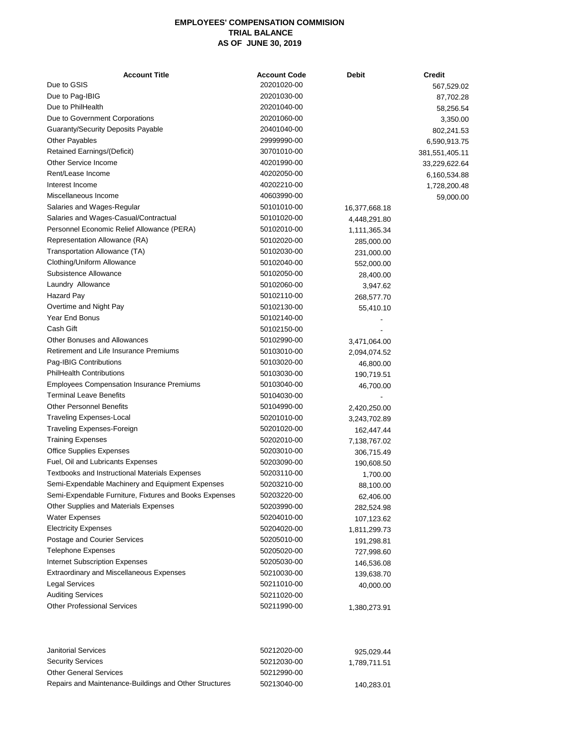## **EMPLOYEES' COMPENSATION COMMISION TRIAL BALANCE AS OF JUNE 30, 2019**

| Due to GSIS<br>Due to Pag-IBIG                         | 20201020-00 |               | 567,529.02     |
|--------------------------------------------------------|-------------|---------------|----------------|
|                                                        |             |               |                |
|                                                        | 20201030-00 |               | 87,702.28      |
| Due to PhilHealth                                      | 20201040-00 |               | 58,256.54      |
| Due to Government Corporations                         | 20201060-00 |               | 3,350.00       |
| <b>Guaranty/Security Deposits Payable</b>              | 20401040-00 |               | 802,241.53     |
| <b>Other Payables</b>                                  | 29999990-00 |               | 6,590,913.75   |
| Retained Earnings/(Deficit)                            | 30701010-00 |               | 381,551,405.11 |
| Other Service Income                                   | 40201990-00 |               | 33,229,622.64  |
| Rent/Lease Income                                      | 40202050-00 |               | 6,160,534.88   |
| Interest Income                                        | 40202210-00 |               | 1,728,200.48   |
| Miscellaneous Income                                   | 40603990-00 |               | 59,000.00      |
| Salaries and Wages-Regular                             | 50101010-00 | 16,377,668.18 |                |
| Salaries and Wages-Casual/Contractual                  | 50101020-00 | 4,448,291.80  |                |
| Personnel Economic Relief Allowance (PERA)             | 50102010-00 | 1,111,365.34  |                |
| Representation Allowance (RA)                          | 50102020-00 | 285,000.00    |                |
| Transportation Allowance (TA)                          | 50102030-00 | 231,000.00    |                |
| Clothing/Uniform Allowance                             | 50102040-00 | 552,000.00    |                |
| Subsistence Allowance                                  | 50102050-00 | 28,400.00     |                |
| Laundry Allowance                                      | 50102060-00 | 3,947.62      |                |
| Hazard Pay                                             | 50102110-00 | 268,577.70    |                |
| Overtime and Night Pay                                 | 50102130-00 | 55,410.10     |                |
| Year End Bonus                                         | 50102140-00 |               |                |
| Cash Gift                                              | 50102150-00 |               |                |
| <b>Other Bonuses and Allowances</b>                    | 50102990-00 | 3,471,064.00  |                |
| Retirement and Life Insurance Premiums                 | 50103010-00 | 2,094,074.52  |                |
| Pag-IBIG Contributions                                 | 50103020-00 | 46,800.00     |                |
| <b>PhilHealth Contributions</b>                        | 50103030-00 | 190,719.51    |                |
| Employees Compensation Insurance Premiums              | 50103040-00 | 46,700.00     |                |
| <b>Terminal Leave Benefits</b>                         | 50104030-00 |               |                |
| <b>Other Personnel Benefits</b>                        | 50104990-00 | 2,420,250.00  |                |
| <b>Traveling Expenses-Local</b>                        | 50201010-00 | 3,243,702.89  |                |
| Traveling Expenses-Foreign                             | 50201020-00 | 162,447.44    |                |
| <b>Training Expenses</b>                               | 50202010-00 | 7,138,767.02  |                |
| <b>Office Supplies Expenses</b>                        | 50203010-00 | 306,715.49    |                |
| Fuel, Oil and Lubricants Expenses                      | 50203090-00 | 190,608.50    |                |
| <b>Textbooks and Instructional Materials Expenses</b>  | 50203110-00 | 1,700.00      |                |
| Semi-Expendable Machinery and Equipment Expenses       | 50203210-00 | 88,100.00     |                |
| Semi-Expendable Furniture, Fixtures and Books Expenses | 50203220-00 | 62,406.00     |                |
| Other Supplies and Materials Expenses                  | 50203990-00 | 282,524.98    |                |
| <b>Water Expenses</b>                                  | 50204010-00 | 107,123.62    |                |
| <b>Electricity Expenses</b>                            | 50204020-00 | 1,811,299.73  |                |
| Postage and Courier Services                           | 50205010-00 | 191,298.81    |                |
| <b>Telephone Expenses</b>                              | 50205020-00 | 727,998.60    |                |
| <b>Internet Subscription Expenses</b>                  | 50205030-00 | 146,536.08    |                |
| <b>Extraordinary and Miscellaneous Expenses</b>        | 50210030-00 | 139,638.70    |                |
| <b>Legal Services</b>                                  | 50211010-00 | 40,000.00     |                |
| <b>Auditing Services</b>                               | 50211020-00 |               |                |
| <b>Other Professional Services</b>                     | 50211990-00 | 1,380,273.91  |                |

| Janitorial Services                                    | 50212020-00 | 925.029.44   |
|--------------------------------------------------------|-------------|--------------|
| <b>Security Services</b>                               | 50212030-00 | 1.789.711.51 |
| <b>Other General Services</b>                          | 50212990-00 |              |
| Repairs and Maintenance-Buildings and Other Structures | 50213040-00 | 140.283.01   |